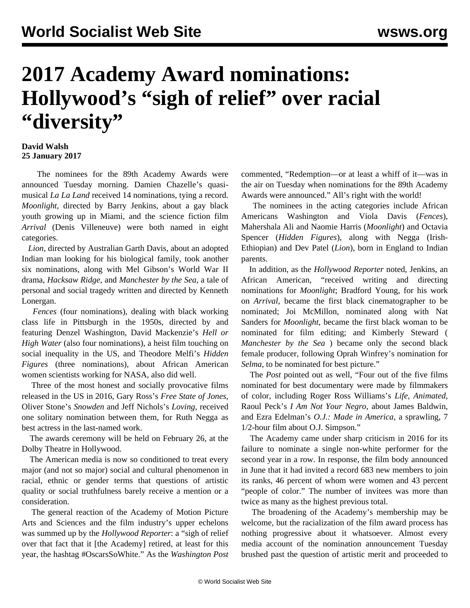## **2017 Academy Award nominations: Hollywood's "sigh of relief" over racial "diversity"**

## **David Walsh 25 January 2017**

 The nominees for the 89th Academy Awards were announced Tuesday morning. Damien Chazelle's quasimusical *La La Land* received 14 nominations, tying a record. *Moonlight*, directed by Barry Jenkins, about a gay black youth growing up in Miami, and the science fiction film *Arrival* (Denis Villeneuve) were both named in eight categories.

 *Lion*, directed by Australian Garth Davis, about an adopted Indian man looking for his biological family, took another six nominations, along with Mel Gibson's World War II drama, *Hacksaw Ridge*, and *Manchester by the Sea*, a tale of personal and social tragedy written and directed by Kenneth Lonergan.

 *Fences* (four nominations), dealing with black working class life in Pittsburgh in the 1950s, directed by and featuring Denzel Washington, David Mackenzie's *Hell or High Water* (also four nominations), a heist film touching on social inequality in the US, and Theodore Melfi's *Hidden Figures* (three nominations), about African American women scientists working for NASA, also did well.

 Three of the most honest and socially provocative films released in the US in 2016, Gary Ross's *Free State of Jones*, Oliver Stone's *Snowden* and Jeff Nichols's *Loving*, received one solitary nomination between them, for Ruth Negga as best actress in the last-named work.

 The awards ceremony will be held on February 26, at the Dolby Theatre in Hollywood.

 The American media is now so conditioned to treat every major (and not so major) social and cultural phenomenon in racial, ethnic or gender terms that questions of artistic quality or social truthfulness barely receive a mention or a consideration.

 The general reaction of the Academy of Motion Picture Arts and Sciences and the film industry's upper echelons was summed up by the *Hollywood Reporter*: a "sigh of relief over that fact that it [the Academy] retired, at least for this year, the hashtag #OscarsSoWhite." As the *Washington Post* commented, "Redemption—or at least a whiff of it—was in the air on Tuesday when nominations for the 89th Academy Awards were announced." All's right with the world!

 The nominees in the acting categories include African Americans Washington and Viola Davis (*Fences*), Mahershala Ali and Naomie Harris (*Moonlight*) and Octavia Spencer (*Hidden Figures*), along with Negga (Irish-Ethiopian) and Dev Patel (*Lion*), born in England to Indian parents.

 In addition, as the *Hollywood Reporter* noted, Jenkins, an African American, "received writing and directing nominations for *Moonlight*; Bradford Young, for his work on *Arrival*, became the first black cinematographer to be nominated; Joi McMillon, nominated along with Nat Sanders for *Moonlight*, became the first black woman to be nominated for film editing; and Kimberly Steward ( *Manchester by the Sea* ) became only the second black female producer, following Oprah Winfrey's nomination for *Selma*, to be nominated for best picture."

 The *Post* pointed out as well, "Four out of the five films nominated for best documentary were made by filmmakers of color, including Roger Ross Williams's *Life, Animated*, Raoul Peck's *I Am Not Your Negro*, about James Baldwin, and Ezra Edelman's *O.J.: Made in America*, a sprawling, 7 1/2-hour film about O.J. Simpson."

 The Academy came under sharp criticism in 2016 for its failure to nominate a single non-white performer for the second year in a row. In response, the film body announced in June that it had invited a record 683 new members to join its ranks, 46 percent of whom were women and 43 percent "people of color." The number of invitees was more than twice as many as the highest previous total.

 The broadening of the Academy's membership may be welcome, but the racialization of the film award process has nothing progressive about it whatsoever. Almost every media account of the nomination announcement Tuesday brushed past the question of artistic merit and proceeded to